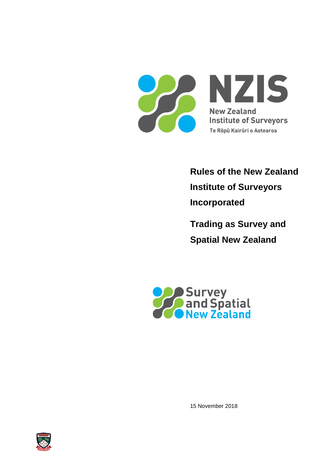

**Rules of the New Zealand Institute of Surveyors Incorporated**

**Trading as Survey and Spatial New Zealand**



15 November 2018

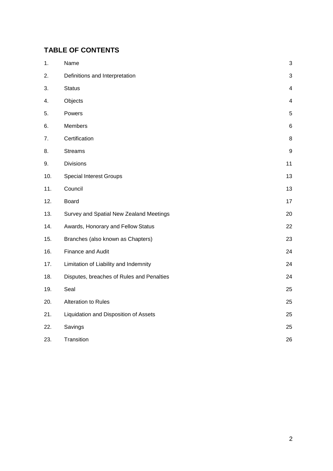# **TABLE OF CONTENTS**

| 1.  | Name                                      | 3                       |
|-----|-------------------------------------------|-------------------------|
| 2.  | Definitions and Interpretation            | 3                       |
| 3.  | <b>Status</b>                             | $\overline{\mathbf{4}}$ |
| 4.  | Objects                                   | 4                       |
| 5.  | Powers                                    | $\sqrt{5}$              |
| 6.  | Members                                   | 6                       |
| 7.  | Certification                             | 8                       |
| 8.  | <b>Streams</b>                            | $\boldsymbol{9}$        |
| 9.  | <b>Divisions</b>                          | 11                      |
| 10. | <b>Special Interest Groups</b>            | 13                      |
| 11. | Council                                   | 13                      |
| 12. | <b>Board</b>                              | 17                      |
| 13. | Survey and Spatial New Zealand Meetings   | 20                      |
| 14. | Awards, Honorary and Fellow Status        | 22                      |
| 15. | Branches (also known as Chapters)         | 23                      |
| 16. | Finance and Audit                         | 24                      |
| 17. | Limitation of Liability and Indemnity     | 24                      |
| 18. | Disputes, breaches of Rules and Penalties | 24                      |
| 19. | Seal                                      | 25                      |
| 20. | Alteration to Rules                       | 25                      |
| 21. | Liquidation and Disposition of Assets     | 25                      |
| 22. | Savings                                   | 25                      |
| 23. | Transition                                | 26                      |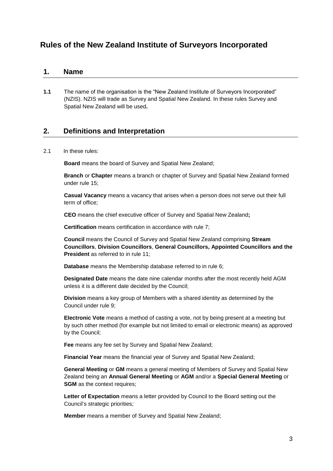# **Rules of the New Zealand Institute of Surveyors Incorporated**

## <span id="page-2-0"></span>**1. Name**

**1.1** The name of the organisation is the "New Zealand Institute of Surveyors Incorporated" (NZIS). NZIS will trade as Survey and Spatial New Zealand. In these rules Survey and Spatial New Zealand will be used**.** 

## <span id="page-2-1"></span>**2. Definitions and Interpretation**

2.1 In these rules:

**Board** means the board of Survey and Spatial New Zealand;

**Branch** or **Chapter** means a branch or chapter of Survey and Spatial New Zealand formed under rule 15;

**Casual Vacancy** means a vacancy that arises when a person does not serve out their full term of office;

**CEO** means the chief executive officer of Survey and Spatial New Zealand**;**

**Certification** means certification in accordance with rule 7;

**Council** means the Council of Survey and Spatial New Zealand comprising **Stream Councillors**, **Division Councillors**, **General Councillors, Appointed Councillors and the President** as referred to in rule 11;

**Database** means the Membership database referred to in rule 6;

**Designated Date** means the date nine calendar months after the most recently held AGM unless it is a different date decided by the Council;

**Division** means a key group of Members with a shared identity as determined by the Council under rule 9;

**Electronic Vote** means a method of casting a vote, not by being present at a meeting but by such other method (for example but not limited to email or electronic means) as approved by the Council;

**Fee** means any fee set by Survey and Spatial New Zealand;

**Financial Year** means the financial year of Survey and Spatial New Zealand;

**General Meeting** or **GM** means a general meeting of Members of Survey and Spatial New Zealand being an **Annual General Meeting** or **AGM** and/or a **Special General Meeting** or **SGM** as the context requires;

**Letter of Expectation** means a letter provided by Council to the Board setting out the Council's strategic priorities;

**Member** means a member of Survey and Spatial New Zealand;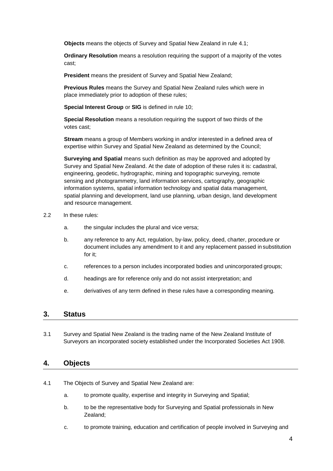**Objects** means the objects of Survey and Spatial New Zealand in rule 4.1;

**Ordinary Resolution** means a resolution requiring the support of a majority of the votes cast;

**President** means the president of Survey and Spatial New Zealand;

**Previous Rules** means the Survey and Spatial New Zealand rules which were in place immediately prior to adoption of these rules;

**Special Interest Group** or **SIG** is defined in rule 10;

**Special Resolution** means a resolution requiring the support of two thirds of the votes cast;

**Stream** means a group of Members working in and/or interested in a defined area of expertise within Survey and Spatial New Zealand as determined by the Council;

**Surveying and Spatial** means such definition as may be approved and adopted by Survey and Spatial New Zealand. At the date of adoption of these rules it is: cadastral, engineering, geodetic, hydrographic, mining and topographic surveying, remote sensing and photogrammetry, land information services, cartography, geographic information systems, spatial information technology and spatial data management, spatial planning and development, land use planning, urban design, land development and resource management.

- 2.2 In these rules:
	- a. the singular includes the plural and vice versa;
	- b. any reference to any Act, regulation, by-law, policy, deed, charter, procedure or document includes any amendment to it and any replacement passed in substitution for it;
	- c. references to a person includes incorporated bodies and unincorporated groups;
	- d. headings are for reference only and do not assist interpretation; and
	- e. derivatives of any term defined in these rules have a corresponding meaning.

## <span id="page-3-0"></span>**3. Status**

3.1 Survey and Spatial New Zealand is the trading name of the New Zealand Institute of Surveyors an incorporated society established under the Incorporated Societies Act 1908.

## <span id="page-3-1"></span>**4. Objects**

- 4.1 The Objects of Survey and Spatial New Zealand are:
	- a. to promote quality, expertise and integrity in Surveying and Spatial;
	- b. to be the representative body for Surveying and Spatial professionals in New Zealand;
	- c. to promote training, education and certification of people involved in Surveying and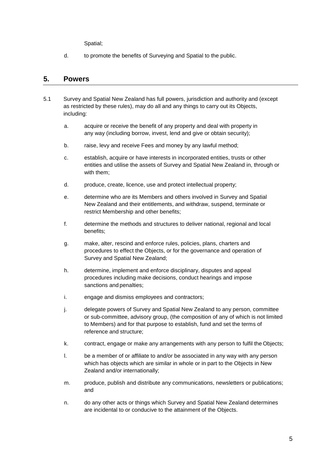Spatial;

d. to promote the benefits of Surveying and Spatial to the public.

## <span id="page-4-0"></span>**5. Powers**

- 5.1 Survey and Spatial New Zealand has full powers, jurisdiction and authority and (except as restricted by these rules), may do all and any things to carry out its Objects, including:
	- a. acquire or receive the benefit of any property and deal with property in any way (including borrow, invest, lend and give or obtain security);
	- b. raise, levy and receive Fees and money by any lawful method;
	- c. establish, acquire or have interests in incorporated entities, trusts or other entities and utilise the assets of Survey and Spatial New Zealand in, through or with them;
	- d. produce, create, licence, use and protect intellectual property;
	- e. determine who are its Members and others involved in Survey and Spatial New Zealand and their entitlements, and withdraw, suspend, terminate or restrict Membership and other benefits;
	- f. determine the methods and structures to deliver national, regional and local benefits;
	- g. make, alter, rescind and enforce rules, policies, plans, charters and procedures to effect the Objects, or for the governance and operation of Survey and Spatial New Zealand;
	- h. determine, implement and enforce disciplinary, disputes and appeal procedures including make decisions, conduct hearings and impose sanctions and penalties;
	- i. engage and dismiss employees and contractors;
	- j. delegate powers of Survey and Spatial New Zealand to any person, committee or sub-committee, advisory group, (the composition of any of which is not limited to Members) and for that purpose to establish, fund and set the terms of reference and structure;
	- k. contract, engage or make any arrangements with any person to fulfil the Objects;
	- l. be a member of or affiliate to and/or be associated in any way with any person which has objects which are similar in whole or in part to the Objects in New Zealand and/or internationally;
	- m. produce, publish and distribute any communications, newsletters or publications; and
	- n. do any other acts or things which Survey and Spatial New Zealand determines are incidental to or conducive to the attainment of the Objects.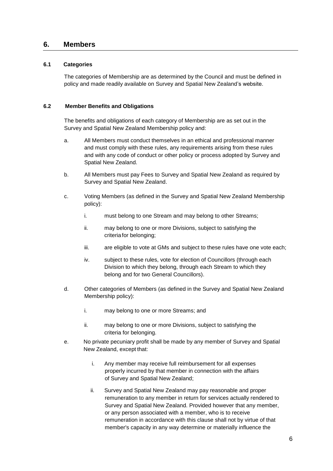## <span id="page-5-0"></span>**6. Members**

### **6.1 Categories**

The categories of Membership are as determined by the Council and must be defined in policy and made readily available on Survey and Spatial New Zealand's website.

### **6.2 Member Benefits and Obligations**

The benefits and obligations of each category of Membership are as set out in the Survey and Spatial New Zealand Membership policy and:

- a. All Members must conduct themselves in an ethical and professional manner and must comply with these rules, any requirements arising from these rules and with any code of conduct or other policy or process adopted by Survey and Spatial New Zealand.
- b. All Members must pay Fees to Survey and Spatial New Zealand as required by Survey and Spatial New Zealand.
- c. Voting Members (as defined in the Survey and Spatial New Zealand Membership policy):
	- i. must belong to one Stream and may belong to other Streams;
	- ii. may belong to one or more Divisions, subject to satisfying the criteria for belonging;
	- iii. are eligible to vote at GMs and subject to these rules have one vote each;
	- iv. subject to these rules, vote for election of Councillors (through each Division to which they belong, through each Stream to which they belong and for two General Councillors).
- d. Other categories of Members (as defined in the Survey and Spatial New Zealand Membership policy):
	- i. may belong to one or more Streams; and
	- ii. may belong to one or more Divisions, subject to satisfying the criteria for belonging.
- e. No private pecuniary profit shall be made by any member of Survey and Spatial New Zealand, except that:
	- i. Any member may receive full reimbursement for all expenses properly incurred by that member in connection with the affairs of Survey and Spatial New Zealand;
	- ii. Survey and Spatial New Zealand may pay reasonable and proper remuneration to any member in return for services actually rendered to Survey and Spatial New Zealand. Provided however that any member, or any person associated with a member, who is to receive remuneration in accordance with this clause shall not by virtue of that member's capacity in any way determine or materially influence the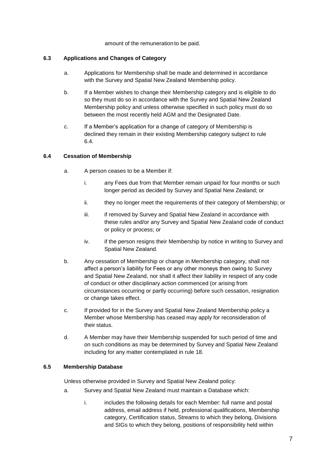amount of the remuneration to be paid.

### **6.3 Applications and Changes of Category**

- a. Applications for Membership shall be made and determined in accordance with the Survey and Spatial New Zealand Membership policy.
- b. If a Member wishes to change their Membership category and is eligible to do so they must do so in accordance with the Survey and Spatial New Zealand Membership policy and unless otherwise specified in such policy must do so between the most recently held AGM and the Designated Date.
- c. If a Member's application for a change of category of Membership is declined they remain in their existing Membership category subject to rule 6.4.

### **6.4 Cessation of Membership**

- a. A person ceases to be a Member if:
	- i. any Fees due from that Member remain unpaid for four months or such longer period as decided by Survey and Spatial New Zealand; or
	- ii. they no longer meet the requirements of their category of Membership; or
	- iii. iii. if removed by Survey and Spatial New Zealand in accordance with these rules and/or any Survey and Spatial New Zealand code of conduct or policy or process; or
	- iv. if the person resigns their Membership by notice in writing to Survey and Spatial New Zealand.
- b. Any cessation of Membership or change in Membership category, shall not affect a person's liability for Fees or any other moneys then owing to Survey and Spatial New Zealand, nor shall it affect their liability in respect of any code of conduct or other disciplinary action commenced (or arising from circumstances occurring or partly occurring) before such cessation, resignation or change takes effect.
- c. If provided for in the Survey and Spatial New Zealand Membership policy a Member whose Membership has ceased may apply for reconsideration of their status.
- d. A Member may have their Membership suspended for such period of time and on such conditions as may be determined by Survey and Spatial New Zealand including for any matter contemplated in rule 18.

## **6.5 Membership Database**

Unless otherwise provided in Survey and Spatial New Zealand policy:

- a. Survey and Spatial New Zealand must maintain a Database which:
	- i. includes the following details for each Member: full name and postal address, email address if held, professional qualifications, Membership category, Certification status, Streams to which they belong, Divisions and SIGs to which they belong, positions of responsibility held within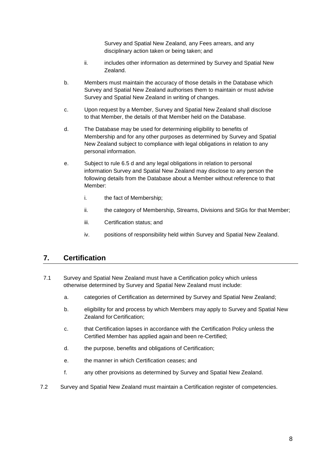Survey and Spatial New Zealand, any Fees arrears, and any disciplinary action taken or being taken; and

- ii. includes other information as determined by Survey and Spatial New Zealand.
- b. Members must maintain the accuracy of those details in the Database which Survey and Spatial New Zealand authorises them to maintain or must advise Survey and Spatial New Zealand in writing of changes.
- c. Upon request by a Member, Survey and Spatial New Zealand shall disclose to that Member, the details of that Member held on the Database.
- d. The Database may be used for determining eligibility to benefits of Membership and for any other purposes as determined by Survey and Spatial New Zealand subject to compliance with legal obligations in relation to any personal information.
- e. Subject to rule 6.5 d and any legal obligations in relation to personal information Survey and Spatial New Zealand may disclose to any person the following details from the Database about a Member without reference to that Member:
	- i. the fact of Membership;
	- ii. the category of Membership, Streams, Divisions and SIGs for that Member;
	- iii. Certification status; and
	- iv. positions of responsibility held within Survey and Spatial New Zealand.

## <span id="page-7-0"></span>**7. Certification**

- 7.1 Survey and Spatial New Zealand must have a Certification policy which unless otherwise determined by Survey and Spatial New Zealand must include:
	- a. categories of Certification as determined by Survey and Spatial New Zealand;
	- b. eligibility for and process by which Members may apply to Survey and Spatial New Zealand for Certification;
	- c. that Certification lapses in accordance with the Certification Policy unless the Certified Member has applied again and been re-Certified;
	- d. the purpose, benefits and obligations of Certification;
	- e. the manner in which Certification ceases; and
	- f. any other provisions as determined by Survey and Spatial New Zealand.
- 7.2 Survey and Spatial New Zealand must maintain a Certification register of competencies.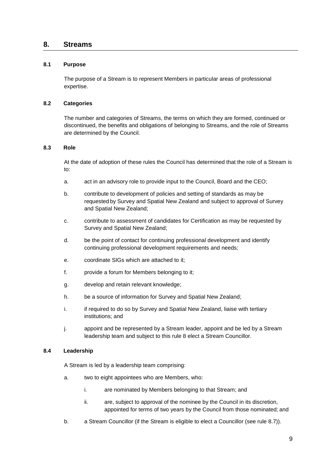## <span id="page-8-0"></span>**8. Streams**

### **8.1 Purpose**

The purpose of a Stream is to represent Members in particular areas of professional expertise.

#### **8.2 Categories**

The number and categories of Streams, the terms on which they are formed, continued or discontinued, the benefits and obligations of belonging to Streams, and the role of Streams are determined by the Council.

#### **8.3 Role**

At the date of adoption of these rules the Council has determined that the role of a Stream is to:

- a. act in an advisory role to provide input to the Council, Board and the CEO;
- b. contribute to development of policies and setting of standards as may be requested by Survey and Spatial New Zealand and subject to approval of Survey and Spatial New Zealand;
- c. contribute to assessment of candidates for Certification as may be requested by Survey and Spatial New Zealand;
- d. be the point of contact for continuing professional development and identify continuing professional development requirements and needs;
- e. coordinate SIGs which are attached to it;
- f. provide a forum for Members belonging to it;
- g. develop and retain relevant knowledge;
- h. be a source of information for Survey and Spatial New Zealand;
- i. if required to do so by Survey and Spatial New Zealand, liaise with tertiary institutions; and
- j. appoint and be represented by a Stream leader, appoint and be led by a Stream leadership team and subject to this rule 8 elect a Stream Councillor.

#### **8.4 Leadership**

A Stream is led by a leadership team comprising:

- a. two to eight appointees who are Members, who:
	- i. are nominated by Members belonging to that Stream; and
	- ii. are, subject to approval of the nominee by the Council in its discretion, appointed for terms of two years by the Council from those nominated; and
- b. a Stream Councillor (if the Stream is eligible to elect a Councillor (see rule 8.7)).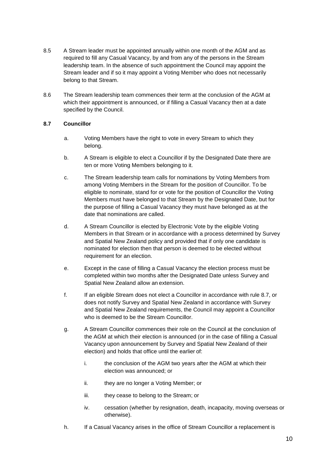- 8.5 A Stream leader must be appointed annually within one month of the AGM and as required to fill any Casual Vacancy, by and from any of the persons in the Stream leadership team. In the absence of such appointment the Council may appoint the Stream leader and if so it may appoint a Voting Member who does not necessarily belong to that Stream.
- 8.6 The Stream leadership team commences their term at the conclusion of the AGM at which their appointment is announced, or if filling a Casual Vacancy then at a date specified by the Council.

### **8.7 Councillor**

- a. Voting Members have the right to vote in every Stream to which they belong.
- b. A Stream is eligible to elect a Councillor if by the Designated Date there are ten or more Voting Members belonging to it.
- c. The Stream leadership team calls for nominations by Voting Members from among Voting Members in the Stream for the position of Councillor. To be eligible to nominate, stand for or vote for the position of Councillor the Voting Members must have belonged to that Stream by the Designated Date, but for the purpose of filling a Casual Vacancy they must have belonged as at the date that nominations are called.
- d. A Stream Councillor is elected by Electronic Vote by the eligible Voting Members in that Stream or in accordance with a process determined by Survey and Spatial New Zealand policy and provided that if only one candidate is nominated for election then that person is deemed to be elected without requirement for an election.
- e. Except in the case of filling a Casual Vacancy the election process must be completed within two months after the Designated Date unless Survey and Spatial New Zealand allow an extension.
- f. If an eligible Stream does not elect a Councillor in accordance with rule 8.7, or does not notify Survey and Spatial New Zealand in accordance with Survey and Spatial New Zealand requirements, the Council may appoint a Councillor who is deemed to be the Stream Councillor.
- g. A Stream Councillor commences their role on the Council at the conclusion of the AGM at which their election is announced (or in the case of filling a Casual Vacancy upon announcement by Survey and Spatial New Zealand of their election) and holds that office until the earlier of:
	- i. the conclusion of the AGM two years after the AGM at which their election was announced; or
	- ii. they are no longer a Voting Member; or
	- iii. they cease to belong to the Stream; or
	- iv. cessation (whether by resignation, death, incapacity, moving overseas or otherwise).
- h. If a Casual Vacancy arises in the office of Stream Councillor a replacement is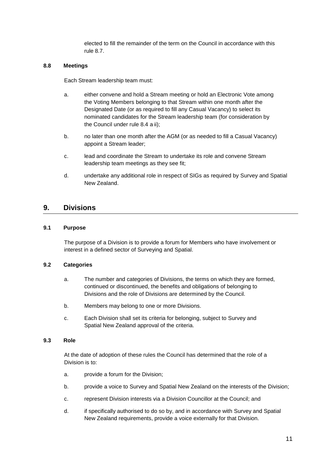elected to fill the remainder of the term on the Council in accordance with this rule 8.7.

#### **8.8 Meetings**

Each Stream leadership team must:

- a. either convene and hold a Stream meeting or hold an Electronic Vote among the Voting Members belonging to that Stream within one month after the Designated Date (or as required to fill any Casual Vacancy) to select its nominated candidates for the Stream leadership team (for consideration by the Council under rule 8.4 a ii);
- b. no later than one month after the AGM (or as needed to fill a Casual Vacancy) appoint a Stream leader;
- c. lead and coordinate the Stream to undertake its role and convene Stream leadership team meetings as they see fit;
- d. undertake any additional role in respect of SIGs as required by Survey and Spatial New Zealand.

## <span id="page-10-0"></span>**9. Divisions**

#### **9.1 Purpose**

The purpose of a Division is to provide a forum for Members who have involvement or interest in a defined sector of Surveying and Spatial.

#### **9.2 Categories**

- a. The number and categories of Divisions, the terms on which they are formed, continued or discontinued, the benefits and obligations of belonging to Divisions and the role of Divisions are determined by the Council.
- b. Members may belong to one or more Divisions.
- c. Each Division shall set its criteria for belonging, subject to Survey and Spatial New Zealand approval of the criteria.

#### **9.3 Role**

At the date of adoption of these rules the Council has determined that the role of a Division is to:

- a. provide a forum for the Division;
- b. provide a voice to Survey and Spatial New Zealand on the interests of the Division;
- c. represent Division interests via a Division Councillor at the Council; and
- d. if specifically authorised to do so by, and in accordance with Survey and Spatial New Zealand requirements, provide a voice externally for that Division.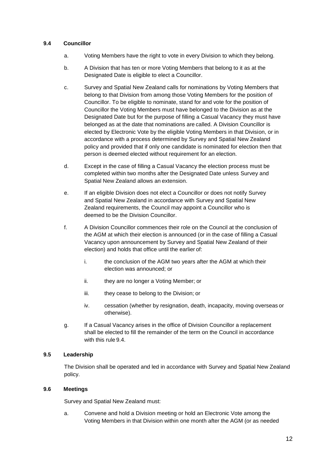### **9.4 Councillor**

- a. Voting Members have the right to vote in every Division to which they belong.
- b. A Division that has ten or more Voting Members that belong to it as at the Designated Date is eligible to elect a Councillor.
- c. Survey and Spatial New Zealand calls for nominations by Voting Members that belong to that Division from among those Voting Members for the position of Councillor. To be eligible to nominate, stand for and vote for the position of Councillor the Voting Members must have belonged to the Division as at the Designated Date but for the purpose of filling a Casual Vacancy they must have belonged as at the date that nominations are called. A Division Councillor is elected by Electronic Vote by the eligible Voting Members in that Division, or in accordance with a process determined by Survey and Spatial New Zealand policy and provided that if only one candidate is nominated for election then that person is deemed elected without requirement for an election.
- d. Except in the case of filling a Casual Vacancy the election process must be completed within two months after the Designated Date unless Survey and Spatial New Zealand allows an extension.
- e. If an eligible Division does not elect a Councillor or does not notify Survey and Spatial New Zealand in accordance with Survey and Spatial New Zealand requirements, the Council may appoint a Councillor who is deemed to be the Division Councillor.
- f. A Division Councillor commences their role on the Council at the conclusion of the AGM at which their election is announced (or in the case of filling a Casual Vacancy upon announcement by Survey and Spatial New Zealand of their election) and holds that office until the earlier of:
	- i. the conclusion of the AGM two years after the AGM at which their election was announced; or
	- ii. they are no longer a Voting Member; or
	- iii. they cease to belong to the Division; or
	- iv. cessation (whether by resignation, death, incapacity, moving overseas or otherwise).
- g. If a Casual Vacancy arises in the office of Division Councillor a replacement shall be elected to fill the remainder of the term on the Council in accordance with this rule 9.4.

### **9.5 Leadership**

The Division shall be operated and led in accordance with Survey and Spatial New Zealand policy.

### **9.6 Meetings**

Survey and Spatial New Zealand must:

a. Convene and hold a Division meeting or hold an Electronic Vote among the Voting Members in that Division within one month after the AGM (or as needed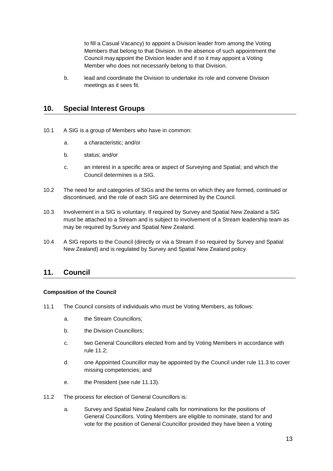to fill a Casual Vacancy) to appoint a Division leader from among the Voting Members that belong to that Division. In the absence of such appointment the Council mayappoint the Division leader and if so it may appoint a Voting Member who does not necessarily belong to that Division.

b. lead and coordinate the Division to undertake its role and convene Division meetings as it sees fit.

## <span id="page-12-0"></span>**10. Special Interest Groups**

- 10.1 A SIG is a group of Members who have in common:
	- a. a characteristic; and/or
	- b. status; and/or
	- c. an interest in a specific area or aspect of Surveying and Spatial; and which the Council determines is a SIG.
- 10.2 The need for and categories of SIGs and the terms on which they are formed, continued or discontinued, and the role of each SIG are determined by the Council.
- 10.3 Involvement in a SIG is voluntary. If required by Survey and Spatial New Zealand a SIG must be attached to a Stream and is subject to involvement of a Stream leadership team as may be required by Survey and Spatial New Zealand.
- 10.4 A SIG reports to the Council (directly or via a Stream if so required by Survey and Spatial New Zealand) and is regulated by Survey and Spatial New Zealand policy.

## <span id="page-12-1"></span>**11. Council**

### **Composition of the Council**

- 11.1 The Council consists of individuals who must be Voting Members, as follows:
	- a. the Stream Councillors;
	- b. the Division Councillors;
	- c. two General Councillors elected from and by Voting Members in accordance with rule 11.2;
	- d. one Appointed Councillor may be appointed by the Council under rule 11.3 to cover missing competencies; and
	- e. the President (see rule 11.13).
- 11.2 The process for election of General Councillors is:
	- a. Survey and Spatial New Zealand calls for nominations for the positions of General Councillors. Voting Members are eligible to nominate, stand for and vote for the position of General Councillor provided they have been a Voting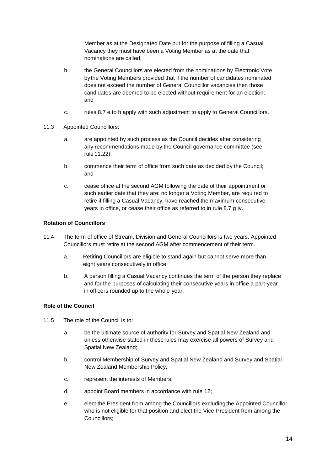Member as at the Designated Date but for the purpose of filling a Casual Vacancy they must have been a Voting Member as at the date that nominations are called;

- b. the General Councillors are elected from the nominations by Electronic Vote by the Voting Members provided that if the number of candidates nominated does not exceed the number of General Councillor vacancies then those candidates are deemed to be elected without requirement for an election; and
- c. rules 8.7 e to h apply with such adjustment to apply to General Councillors.
- 11.3 Appointed Councillors:
	- a. are appointed by such process as the Council decides after considering any recommendations made by the Council governance committee (see rule 11.22);
	- b. commence their term of office from such date as decided by the Council; and
	- c. cease office at the second AGM following the date of their appointment or such earlier date that they are: no longer a Voting Member, are required to retire if filling a Casual Vacancy, have reached the maximum consecutive years in office, or cease their office as referred to in rule 8.7 g iv.

### **Rotation of Councillors**

- 11.4 The term of office of Stream, Division and General Councillors is two years. Appointed Councillors must retire at the second AGM after commencement of their term.
	- a. Retiring Councillors are eligible to stand again but cannot serve more than eight years consecutively in office.
	- b. A person filling a Casual Vacancy continues the term of the person they replace and for the purposes of calculating their consecutive years in office a part-year in office is rounded up to the whole year.

## **Role of the Council**

- 11.5 The role of the Council is to:
	- a. be the ultimate source of authority for Survey and Spatial New Zealand and unless otherwise stated in theserules may exercise all powers of Survey and Spatial New Zealand;
	- b. control Membership of Survey and Spatial New Zealand and Survey and Spatial New Zealand Membership Policy;
	- c. represent the interests of Members;
	- d. appoint Board members in accordance with rule 12;
	- e. elect the President from among the Councillors excluding the Appointed Councillor who is not eligible for that position and elect the Vice-President from among the Councillors;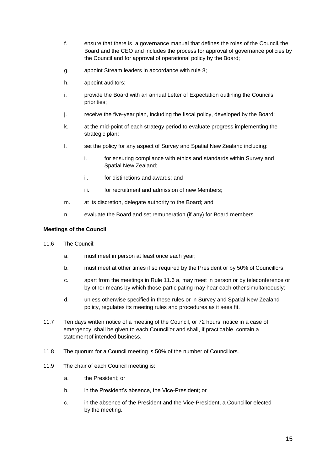- f. ensure that there is a governance manual that defines the roles of the Council, the Board and the CEO and includes the process for approval of governance policies by the Council and for approval of operational policy by the Board;
- g. appoint Stream leaders in accordance with rule 8;
- h. appoint auditors;
- i. provide the Board with an annual Letter of Expectation outlining the Councils priorities;
- j. receive the five-year plan, including the fiscal policy, developed by the Board;
- k. at the mid-point of each strategy period to evaluate progress implementing the strategic plan;
- l. set the policy for any aspect of Survey and Spatial New Zealand including:
	- i. for ensuring compliance with ethics and standards within Survey and Spatial New Zealand;
	- ii. for distinctions and awards; and
	- iii. for recruitment and admission of new Members:
- m. at its discretion, delegate authority to the Board; and
- n. evaluate the Board and set remuneration (if any) for Board members.

### **Meetings of the Council**

- 11.6 The Council:
	- a. must meet in person at least once each year;
	- b. must meet at other times if so required by the President or by 50% of Councillors;
	- c. apart from the meetings in Rule 11.6 a, may meet in person or by teleconference or by other means by which those participating may hear each other simultaneously;
	- d. unless otherwise specified in these rules or in Survey and Spatial New Zealand policy, regulates its meeting rules and procedures as it sees fit.
- 11.7 Ten days written notice of a meeting of the Council, or 72 hours' notice in a case of emergency, shall be given to each Councillor and shall, if practicable, contain a statementof intended business.
- 11.8 The quorum for a Council meeting is 50% of the number of Councillors.
- 11.9 The chair of each Council meeting is:
	- a. the President; or
	- b. in the President's absence, the Vice-President; or
	- c. in the absence of the President and the Vice-President, a Councillor elected by the meeting.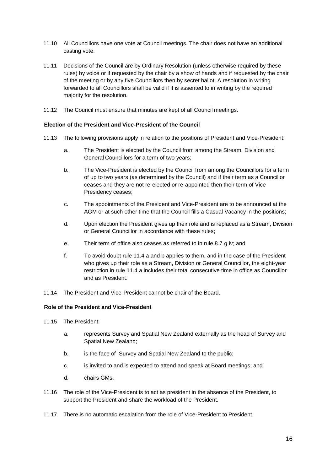- 11.10 All Councillors have one vote at Council meetings. The chair does not have an additional casting vote.
- 11.11 Decisions of the Council are by Ordinary Resolution (unless otherwise required by these rules) by voice or if requested by the chair by a show of hands and if requested by the chair of the meeting or by any five Councillors then by secret ballot. A resolution in writing forwarded to all Councillors shall be valid if it is assented to in writing by the required majority for the resolution.
- 11.12 The Council must ensure that minutes are kept of all Council meetings.

#### **Election of the President and Vice-President of the Council**

- 11.13 The following provisions apply in relation to the positions of President and Vice-President:
	- a. The President is elected by the Council from among the Stream, Division and General Councillors for a term of two years;
	- b. The Vice-President is elected by the Council from among the Councillors for a term of up to two years (as determined by the Council) and if their term as a Councillor ceases and they are not re-elected or re-appointed then their term of Vice Presidency ceases;
	- c. The appointments of the President and Vice-President are to be announced at the AGM or at such other time that the Council fills a Casual Vacancy in the positions;
	- d. Upon election the President gives up their role and is replaced as a Stream, Division or General Councillor in accordance with these rules;
	- e. Their term of office also ceases as referred to in rule 8.7 g iv; and
	- f. To avoid doubt rule 11.4 a and b applies to them, and in the case of the President who gives up their role as a Stream, Division or General Councillor, the eight-year restriction in rule 11.4 a includes their total consecutive time in office as Councillor and as President.
- 11.14 The President and Vice-President cannot be chair of the Board.

## **Role of the President and Vice-President**

- 11.15 The President:
	- a. represents Survey and Spatial New Zealand externally as the head of Survey and Spatial New Zealand;
	- b. is the face of Survey and Spatial New Zealand to the public;
	- c. is invited to and is expected to attend and speak at Board meetings; and
	- d. chairs GMs.
- 11.16 The role of the Vice-President is to act as president in the absence of the President, to support the President and share the workload of the President.
- 11.17 There is no automatic escalation from the role of Vice-President to President.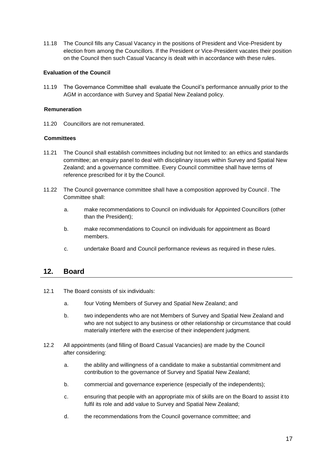11.18 The Council fills any Casual Vacancy in the positions of President and Vice-President by election from among the Councillors. If the President or Vice-President vacates their position on the Council then such Casual Vacancy is dealt with in accordance with these rules.

### **Evaluation of the Council**

11.19 The Governance Committee shall evaluate the Council's performance annually prior to the AGM in accordance with Survey and Spatial New Zealand policy.

### **Remuneration**

11.20 Councillors are not remunerated.

### **Committees**

- 11.21 The Council shall establish committees including but not limited to: an ethics and standards committee; an enquiry panel to deal with disciplinary issues within Survey and Spatial New Zealand; and a governance committee. Every Council committee shall have terms of reference prescribed for it by the Council.
- 11.22 The Council governance committee shall have a composition approved by Council . The Committee shall:
	- a. make recommendations to Council on individuals for Appointed Councillors (other than the President);
	- b. make recommendations to Council on individuals for appointment as Board members.
	- c. undertake Board and Council performance reviews as required in these rules.

## <span id="page-16-0"></span>**12. Board**

- 12.1 The Board consists of six individuals:
	- a. four Voting Members of Survey and Spatial New Zealand; and
	- b. two independents who are not Members of Survey and Spatial New Zealand and who are not subject to any business or other relationship or circumstance that could materially interfere with the exercise of their independent judgment.
- 12.2 All appointments (and filling of Board Casual Vacancies) are made by the Council after considering:
	- a. the ability and willingness of a candidate to make a substantial commitment and contribution to the governance of Survey and Spatial New Zealand;
	- b. commercial and governance experience (especially of the independents);
	- c. ensuring that people with an appropriate mix of skills are on the Board to assist it to fulfil its role and add value to Survey and Spatial New Zealand;
	- d. the recommendations from the Council governance committee; and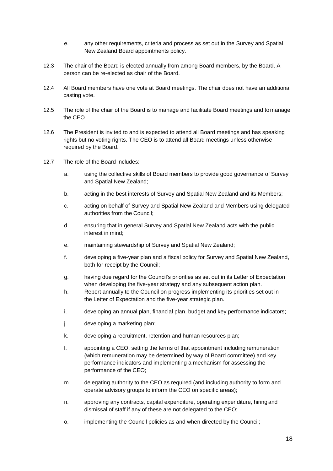- e. any other requirements, criteria and process as set out in the Survey and Spatial New Zealand Board appointments policy.
- 12.3 The chair of the Board is elected annually from among Board members, by the Board. A person can be re-elected as chair of the Board.
- 12.4 All Board members have one vote at Board meetings. The chair does not have an additional casting vote.
- 12.5 The role of the chair of the Board is to manage and facilitate Board meetings and tomanage the CEO.
- 12.6 The President is invited to and is expected to attend all Board meetings and has speaking rights but no voting rights. The CEO is to attend all Board meetings unless otherwise required by the Board.
- 12.7 The role of the Board includes:
	- a. using the collective skills of Board members to provide good governance of Survey and Spatial New Zealand;
	- b. acting in the best interests of Survey and Spatial New Zealand and its Members;
	- c. acting on behalf of Survey and Spatial New Zealand and Members using delegated authorities from the Council;
	- d. ensuring that in general Survey and Spatial New Zealand acts with the public interest in mind;
	- e. maintaining stewardship of Survey and Spatial New Zealand;
	- f. developing a five-year plan and a fiscal policy for Survey and Spatial New Zealand, both for receipt by the Council;
	- g. having due regard for the Council's priorities as set out in its Letter of Expectation when developing the five-year strategy and any subsequent action plan.
	- h. Report annually to the Council on progress implementing its priorities set out in the Letter of Expectation and the five-year strategic plan.
	- i. developing an annual plan, financial plan, budget and key performance indicators;
	- j. developing a marketing plan;
	- k. developing a recruitment, retention and human resources plan;
	- l. appointing a CEO, setting the terms of that appointment including remuneration (which remuneration may be determined by way of Board committee) and key performance indicators and implementing a mechanism for assessing the performance of the CEO;
	- m. delegating authority to the CEO as required (and including authority to form and operate advisory groups to inform the CEO on specific areas);
	- n. approving any contracts, capital expenditure, operating expenditure, hiring and dismissal of staff if any of these are not delegated to the CEO;
	- o. implementing the Council policies as and when directed by the Council;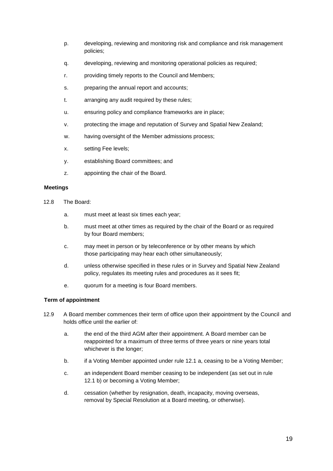- p. developing, reviewing and monitoring risk and compliance and risk management policies;
- q. developing, reviewing and monitoring operational policies as required;
- r. providing timely reports to the Council and Members;
- s. preparing the annual report and accounts;
- t. arranging any audit required by these rules;
- u. ensuring policy and compliance frameworks are in place;
- v. protecting the image and reputation of Survey and Spatial New Zealand;
- w. having oversight of the Member admissions process;
- x. setting Fee levels;
- y. establishing Board committees; and
- z. appointing the chair of the Board.

#### **Meetings**

- 12.8 The Board:
	- a. must meet at least six times each year;
	- b. must meet at other times as required by the chair of the Board or as required by four Board members;
	- c. may meet in person or by teleconference or by other means by which those participating may hear each other simultaneously;
	- d. unless otherwise specified in these rules or in Survey and Spatial New Zealand policy, regulates its meeting rules and procedures as it sees fit;
	- e. quorum for a meeting is four Board members.

### **Term of appointment**

- 12.9 A Board member commences their term of office upon their appointment by the Council and holds office until the earlier of:
	- a. the end of the third AGM after their appointment. A Board member can be reappointed for a maximum of three terms of three years or nine years total whichever is the longer;
	- b. if a Voting Member appointed under rule 12.1 a, ceasing to be a Voting Member;
	- c. an independent Board member ceasing to be independent (as set out in rule 12.1 b) or becoming a Voting Member;
	- d. cessation (whether by resignation, death, incapacity, moving overseas, removal by Special Resolution at a Board meeting, or otherwise).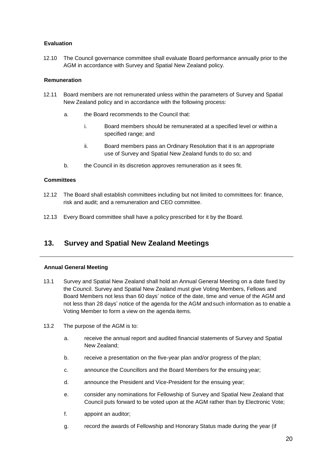## **Evaluation**

12.10 The Council governance committee shall evaluate Board performance annually prior to the AGM in accordance with Survey and Spatial New Zealand policy.

### **Remuneration**

- 12.11 Board members are not remunerated unless within the parameters of Survey and Spatial New Zealand policy and in accordance with the following process:
	- a. the Board recommends to the Council that:
		- i. Board members should be remunerated at a specified level or within a specified range; and
		- ii. Board members pass an Ordinary Resolution that it is an appropriate use of Survey and Spatial New Zealand funds to do so; and
	- b. the Council in its discretion approves remuneration as it sees fit.

### **Committees**

- 12.12 The Board shall establish committees including but not limited to committees for: finance, risk and audit; and a remuneration and CEO committee.
- 12.13 Every Board committee shall have a policy prescribed for it by the Board.

# <span id="page-19-0"></span>**13. Survey and Spatial New Zealand Meetings**

### **Annual General Meeting**

- 13.1 Survey and Spatial New Zealand shall hold an Annual General Meeting on a date fixed by the Council. Survey and Spatial New Zealand must give Voting Members, Fellows and Board Members not less than 60 days' notice of the date, time and venue of the AGM and not less than 28 days' notice of the agenda for the AGM andsuch information as to enable a Voting Member to form a view on the agenda items.
- 13.2 The purpose of the AGM is to:
	- a. receive the annual report and audited financial statements of Survey and Spatial New Zealand;
	- b. receive a presentation on the five-year plan and/or progress of the plan;
	- c. announce the Councillors and the Board Members for the ensuing year;
	- d. announce the President and Vice-President for the ensuing year;
	- e. consider any nominations for Fellowship of Survey and Spatial New Zealand that Council puts forward to be voted upon at the AGM rather than by Electronic Vote;
	- f. appoint an auditor;
	- g. record the awards of Fellowship and Honorary Status made during the year (if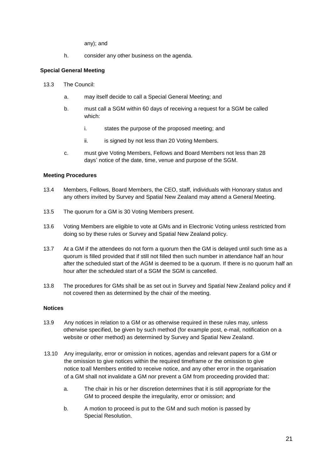any); and

h. consider any other business on the agenda.

## **Special General Meeting**

- 13.3 The Council:
	- a. may itself decide to call a Special General Meeting; and
	- b. must call a SGM within 60 days of receiving a request for a SGM be called which:
		- i. states the purpose of the proposed meeting; and
		- ii. is signed by not less than 20 Voting Members.
	- c. must give Voting Members, Fellows and Board Members not less than 28 days' notice of the date, time, venue and purpose of the SGM.

### **Meeting Procedures**

- 13.4 Members, Fellows, Board Members, the CEO, staff, individuals with Honorary status and any others invited by Survey and Spatial New Zealand may attend a General Meeting.
- 13.5 The quorum for a GM is 30 Voting Members present.
- 13.6 Voting Members are eligible to vote at GMs and in Electronic Voting unless restricted from doing so by these rules or Survey and Spatial New Zealand policy.
- 13.7 At a GM if the attendees do not form a quorum then the GM is delayed until such time as a quorum is filled provided that if still not filled then such number in attendance half an hour after the scheduled start of the AGM is deemed to be a quorum. If there is no quorum half an hour after the scheduled start of a SGM the SGM is cancelled.
- 13.8 The procedures for GMs shall be as set out in Survey and Spatial New Zealand policy and if not covered then as determined by the chair of the meeting.

### **Notices**

- 13.9 Any notices in relation to a GM or as otherwise required in these rules may, unless otherwise specified, be given by such method (for example post, e-mail, notification on a website or other method) as determined by Survey and Spatial New Zealand.
- 13.10 Any irregularity, error or omission in notices, agendas and relevant papers for a GM or the omission to give notices within the required timeframe or the omission to give notice toall Members entitled to receive notice, and any other error in the organisation of a GM shall not invalidate a GM nor prevent a GM from proceeding provided that:
	- a. The chair in his or her discretion determines that it is still appropriate for the GM to proceed despite the irregularity, error or omission; and
	- b. A motion to proceed is put to the GM and such motion is passed by Special Resolution.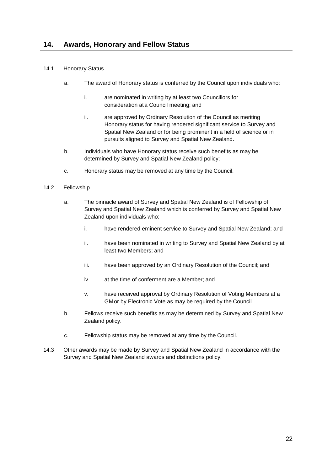### <span id="page-21-0"></span>14.1 Honorary Status

- a. The award of Honorary status is conferred by the Council upon individuals who:
	- i. are nominated in writing by at least two Councillors for consideration ata Council meeting; and
	- ii. are approved by Ordinary Resolution of the Council as meriting Honorary status for having rendered significant service to Survey and Spatial New Zealand or for being prominent in a field of science or in pursuits aligned to Survey and Spatial New Zealand.
- b. Individuals who have Honorary status receive such benefits as may be determined by Survey and Spatial New Zealand policy;
- c. Honorary status may be removed at any time by the Council.

### 14.2 Fellowship

- a. The pinnacle award of Survey and Spatial New Zealand is of Fellowship of Survey and Spatial New Zealand which is conferred by Survey and Spatial New Zealand upon individuals who:
	- i. have rendered eminent service to Survey and Spatial New Zealand; and
	- ii. have been nominated in writing to Survey and Spatial New Zealand by at least two Members; and
	- iii. have been approved by an Ordinary Resolution of the Council; and
	- iv. at the time of conferment are a Member; and
	- v. have received approval by Ordinary Resolution of Voting Members at a GMor by Electronic Vote as may be required by the Council.
- b. Fellows receive such benefits as may be determined by Survey and Spatial New Zealand policy.
- c. Fellowship status may be removed at any time by the Council.
- 14.3 Other awards may be made by Survey and Spatial New Zealand in accordance with the Survey and Spatial New Zealand awards and distinctions policy.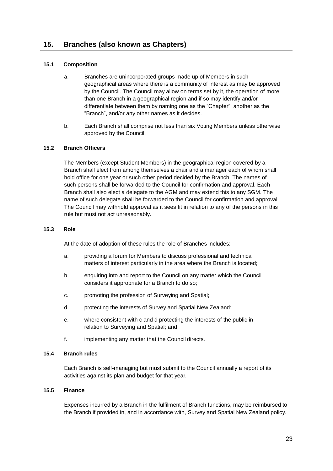### <span id="page-22-0"></span>**15.1 Composition**

- a. Branches are unincorporated groups made up of Members in such geographical areas where there is a community of interest as may be approved by the Council. The Council may allow on terms set by it, the operation of more than one Branch in a geographical region and if so may identify and/or differentiate between them by naming one as the "Chapter", another as the "Branch", and/or any other names as it decides.
- b. Each Branch shall comprise not less than six Voting Members unless otherwise approved by the Council.

### **15.2 Branch Officers**

The Members (except Student Members) in the geographical region covered by a Branch shall elect from among themselves a chair and a manager each of whom shall hold office for one year or such other period decided by the Branch. The names of such persons shall be forwarded to the Council for confirmation and approval. Each Branch shall also elect a delegate to the AGM and may extend this to any SGM. The name of such delegate shall be forwarded to the Council for confirmation and approval. The Council may withhold approval as it sees fit in relation to any of the persons in this rule but must not act unreasonably.

#### **15.3 Role**

At the date of adoption of these rules the role of Branches includes:

- a. providing a forum for Members to discuss professional and technical matters of interest particularly in the area where the Branch is located;
- b. enquiring into and report to the Council on any matter which the Council considers it appropriate for a Branch to do so;
- c. promoting the profession of Surveying and Spatial;
- d. protecting the interests of Survey and Spatial New Zealand;
- e. where consistent with c and d protecting the interests of the public in relation to Surveying and Spatial; and
- f. implementing any matter that the Council directs.

#### **15.4 Branch rules**

Each Branch is self-managing but must submit to the Council annually a report of its activities against its plan and budget for that year*.*

#### **15.5 Finance**

Expenses incurred by a Branch in the fulfilment of Branch functions, may be reimbursed to the Branch if provided in, and in accordance with, Survey and Spatial New Zealand policy.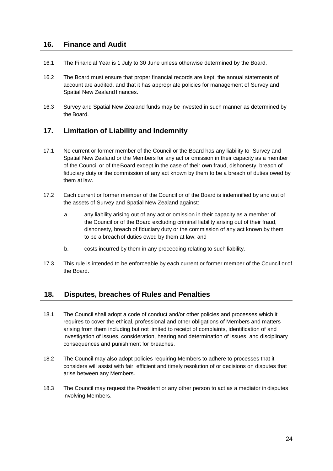## <span id="page-23-0"></span>**16. Finance and Audit**

- 16.1 The Financial Year is 1 July to 30 June unless otherwise determined by the Board.
- 16.2 The Board must ensure that proper financial records are kept, the annual statements of account are audited, and that it has appropriate policies for management of Survey and Spatial New Zealand finances.
- 16.3 Survey and Spatial New Zealand funds may be invested in such manner as determined by the Board.

## <span id="page-23-1"></span>**17. Limitation of Liability and Indemnity**

- 17.1 No current or former member of the Council or the Board has any liability to Survey and Spatial New Zealand or the Members for any act or omission in their capacity as a member of the Council or of theBoard except in the case of their own fraud, dishonesty, breach of fiduciary duty or the commission of any act known by them to be a breach of duties owed by them at law.
- 17.2 Each current or former member of the Council or of the Board is indemnified by and out of the assets of Survey and Spatial New Zealand against:
	- a. any liability arising out of any act or omission in their capacity as a member of the Council or of the Board excluding criminal liability arising out of their fraud, dishonesty, breach of fiduciary duty or the commission of any act known by them to be a breachof duties owed by them at law; and
	- b. costs incurred by them in any proceeding relating to such liability.
- 17.3 This rule is intended to be enforceable by each current or former member of the Council or of the Board.

## <span id="page-23-2"></span>**18. Disputes, breaches of Rules and Penalties**

- 18.1 The Council shall adopt a code of conduct and/or other policies and processes which it requires to cover the ethical, professional and other obligations of Members and matters arising from them including but not limited to receipt of complaints, identification of and investigation of issues, consideration, hearing and determination of issues, and disciplinary consequences and punishment for breaches.
- 18.2 The Council may also adopt policies requiring Members to adhere to processes that it considers will assist with fair, efficient and timely resolution of or decisions on disputes that arise between any Members.
- 18.3 The Council may request the President or any other person to act as a mediator in disputes involving Members.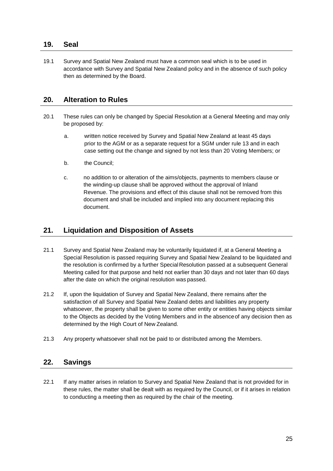## <span id="page-24-0"></span>**19. Seal**

19.1 Survey and Spatial New Zealand must have a common seal which is to be used in accordance with Survey and Spatial New Zealand policy and in the absence of such policy then as determined by the Board.

## <span id="page-24-1"></span>**20. Alteration to Rules**

- 20.1 These rules can only be changed by Special Resolution at a General Meeting and may only be proposed by:
	- a. written notice received by Survey and Spatial New Zealand at least 45 days prior to the AGM or as a separate request for a SGM under rule 13 and in each case setting out the change and signed by not less than 20 Voting Members; or
	- b. the Council;
	- c. no addition to or alteration of the aims/objects, payments to members clause or the winding-up clause shall be approved without the approval of Inland Revenue. The provisions and effect of this clause shall not be removed from this document and shall be included and implied into any document replacing this document.

## <span id="page-24-2"></span>**21. Liquidation and Disposition of Assets**

- 21.1 Survey and Spatial New Zealand may be voluntarily liquidated if, at a General Meeting a Special Resolution is passed requiring Survey and Spatial New Zealand to be liquidated and the resolution is confirmed by a further Special Resolution passed at a subsequent General Meeting called for that purpose and held not earlier than 30 days and not later than 60 days after the date on which the original resolution was passed.
- 21.2 If, upon the liquidation of Survey and Spatial New Zealand, there remains after the satisfaction of all Survey and Spatial New Zealand debts and liabilities any property whatsoever, the property shall be given to some other entity or entities having objects similar to the Objects as decided by the Voting Members and in the absenceof any decision then as determined by the High Court of New Zealand.
- 21.3 Any property whatsoever shall not be paid to or distributed among the Members.

## <span id="page-24-3"></span>**22. Savings**

22.1 If any matter arises in relation to Survey and Spatial New Zealand that is not provided for in these rules, the matter shall be dealt with as required by the Council, or if it arises in relation to conducting a meeting then as required by the chair of the meeting.